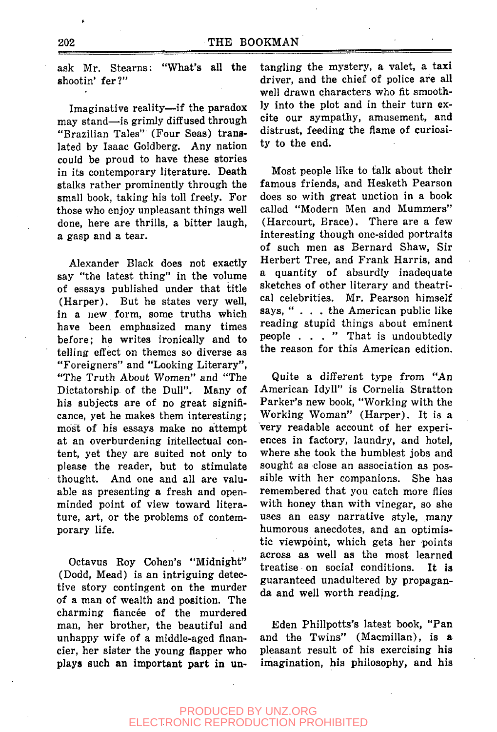ask Mr. Stearns: "What's all the shootin' fer?"

Imaginative reality—if the paradox may stand—is grimly diffused through "Brazilian Tales" (Four Seas) translated by Isaac Goldberg. Any nation could be proud to have these stories in its contemporary literature. Death stalks rather prominently through the small book, taking his toll freely. For those who enjoy unpleasant things well done, here are thrills, a bitter laugh, a gasp and a tear.

Alexander Black does not exactly say "the latest thing" in the volume of essays published under that title (Harper). But he states very well, in a new form, some truths which have been emphasized many times before; he writes ironically and to telling effect on themes so diverse as "Foreigners" and "Looking Literary", "The Truth About Women" and "The Dictatorship of the Dull". Many of his subjects are of no great significance, yet he makes them interesting; most of his essays make no attempt at an overburdening intellectual content, yet they are suited not only to please the reader, but to stimulate thought. And one and all are valuable as presenting a fresh and openminded point of view toward literature, art, or the problems of contemporary life.

Octavus Roy Cohen's "Midnight" (Dodd, Mead) is an intriguing detective story contingent on the murder of a man of wealth and position. The charming fiancée of the murdered man, her brother, the beautiful and unhappy wife of a middle-aged financier, her sister the young flapper who plays such an important part in untangling the mystery, a valet, a taxi driver, and the chief of police are all well drawn characters who fit smoothly into the plot and in their turn excite our sympathy, amusement, and distrust, feeding the flame of curiosity to the end.

Most people like to talk about their famous friends, and Hesketh Pearson does so with great unction in a book called "Modern Men and Mummers" (Harcourt, Brace). There are a few interesting though one-sided portraits of such men as Bernard Shaw, Sir Herbert Tree, and Frank Harris, and quantity of absurdly inadequate sketches of other literary and theatrical celebrities. Mr. Pearson himself says, ".. . the American public like reading stupid things about eminent people ... " That is undoubtedly the reason for this American edition.

Quite a different type from "An American Idyll" is Cornelia Stratton Parker's new book, "Working with the Working Woman" (Harper). It is a very readable account of her experiences in factory, laundry, and hotel, where she took the humblest jobs and sought as close an association as possible with her companions. She has remembered that you catch more flies with honey than with vinegar, so she uses an easy narrative style, many humorous anecdotes, and an optimistic viewpoint, which gets her points across as well as the most learned treatise on social conditions. It is guaranteed unadultered by propaganda and well worth reading.

Eden Phillpotts's latest book, "Pan and the Twins" (Macmillan), is a pleasant result of his exercising his imagination, his philosophy, and his

## PRODUCED BY UNZ.ORG ELECTRONIC REPRODUCTION PROHIBITED